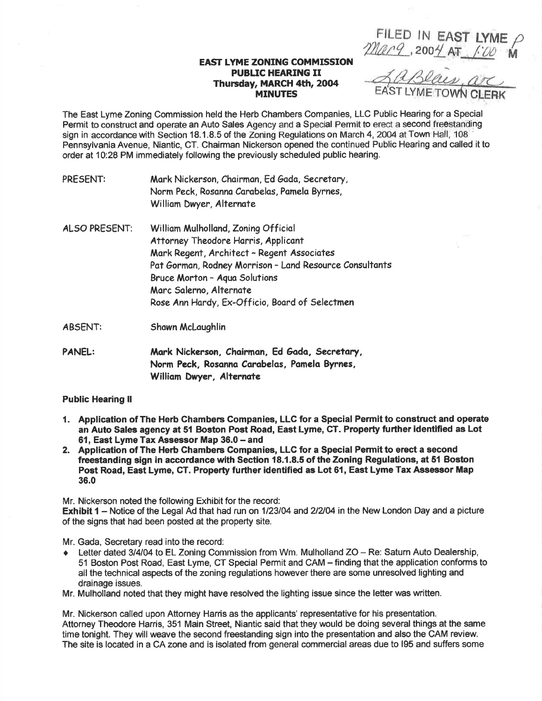FILED IN EAST LYME  $\rho$  $2$ Marq. 2004 AT  $100$  M

## EAST LYME ZONING COMMISSION PUBLIC HEARING II Thursday, MARCH 4th, 2004 MINUTES

The East Lyme Zoning Commission held the Herb Chambers Companies, LLC Public Hearing for a Special Permit to construct and operate an Auto Sales Agency and a Special Permit to erect a second freestanding sign in accordance with Section 18.1.8.5 of the Zoning Regulations on March 4, 2004 at Town Hall, 108 Pennsylvania Avenue, Niantic, CT. Chairman Nickerson opened the continued Public Hearing and called it to order at 10:28 PM immediately following the previously scheduled public hearing.

| PANEL:        | Mark Nickerson, Chairman, Ed Gada, Secretary,<br>Norm Peck, Rosanna Carabelas, Pamela Byrnes,<br>William Dwyer, Alternate                                                                                                                                                                         |
|---------------|---------------------------------------------------------------------------------------------------------------------------------------------------------------------------------------------------------------------------------------------------------------------------------------------------|
| ABSENT:       | Shawn McLaughlin                                                                                                                                                                                                                                                                                  |
| ALSO PRESENT: | William Mulholland, Zoning Official<br>Attorney Theodore Harris, Applicant<br>Mark Regent, Architect - Regent Associates<br>Pat Gorman, Rodney Morrison - Land Resource Consultants<br>Bruce Morton - Aqua Solutions<br>Marc Salerno, Alternate<br>Rose Ann Hardy, Ex-Officio, Board of Selectmen |
| PRESENT:      | Mark Nickerson, Chairman, Ed Gada, Secretary,<br>Norm Peck, Rosanna Carabelas, Pamela Byrnes,<br>William Dwyer, Alternate                                                                                                                                                                         |

## Public Hearing ll

- 1. Application of The Herb Chambers Companies, LLC for a Special Permit to construct and operate an Auto Salee agency at 51 Boston Post Road, East Lyme, CT. Property further identified as Lot 61. East Lyme Tax Assessor Map 36.0 - and
- 2. Application of The Herb Chambers Companies, LLC for a Special Permit to erect a second freestanding sign in accordance with Section 18.1.8.5 of the Zoning Regulations, at 51 Boston Post Road, East Lyme, GT. Property further identified as Lot 61, East Lyme Tax Assessor Map 36.0

Mr. Nickerson noted the following Exhibit for the record: Exhibit 1 – Notice of the Legal Ad that had run on 1/23/04 and 2/2/04 in the New London Day and a picture of the signs that had been posted at the property site.

Mr. Gada, Secretary read into the record:

- $\bullet$  Letter dated 3/4/04 to EL Zoning Commission from Wm. Mulholland ZO Re: Saturn Auto Dealership, 51 Boston Post Road, East Lyme, CT Special Permit and CAM - finding that the application conforms to all the technical aspects of the zoning regulations however there are some unresolved lighting and drainage issues.
- Mr. Mulholland noted that they might have resolved the lighting issue since the letter was written.

Mr. Nickerson called upon Aftorney Harris as the applicants' representative for his presentation. Attorney Theodore Harris, 351 Main Street, Niantic said that they would be doing several things at the same time tonight. They will weave the second freestanding sign into the presentation and also the CAM review. The site is located in a CA zone and is isolated from general commercial areas due to 195 and suffers some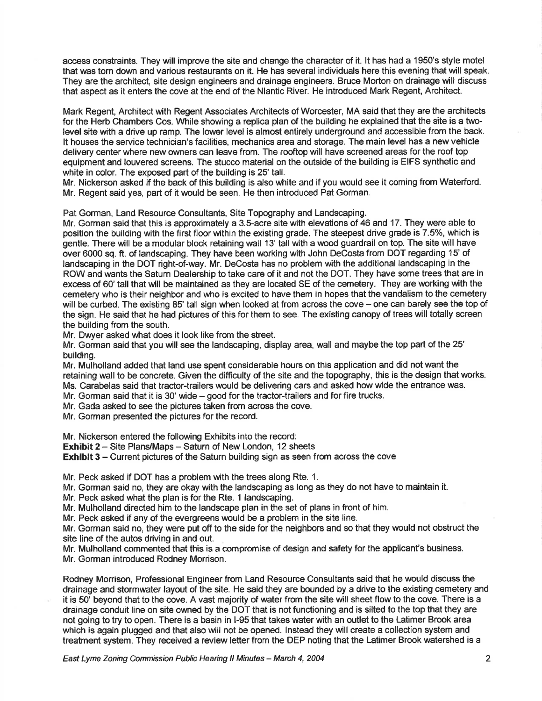access constraints. They will improve the site and change the character of it. lt has had a '1950's style motel that was torn down and various restaurants on it. He has several individuals here this evening that will speak. They are the architect, site design engineers and drainage engineers. Bruce Morton on drainage will discuss that aspect as it enters the cove at the end of the Niantic River. He introduced Mark Regent, Architect.

Mark Regent, Architect with Regent Associates Architects of Worcester, MA said that they are the architects for the Herb Chambers Cos. While showing a replica plan of the building he explained that the site is a twolevel site with a drive up ramp. The lower level is almost entirely underground and accessible from the back. It houses the service technician's facilities, mechanics area and storage. The main level has a new vehicle delivery center where new owners can leave from. The rooftop will have screened areas for the roof top equipment and louvered screens. The stucco material on the outside of the building is EIFS synthetic and white in color. The exposed part of the building is 25' tall.

Mr. Nickerson asked if the back of this building is also white and if you would see it coming from Waterford. Mr. Regent said yes, part of it would be seen. He then introduced Pat Gorman.

Pat Gorman, Land Resource Consultants, Site Topography and Landscaping.

Mr. Gorman said that this is approximately a 3.S-acre site with elevations of 46 and 17. They were able to position the building with the first floor within the existing grade. The steepest drive grade is 7.5%, which is gentle. There will be a modular block retaining wall 13'tallwith a wood guardrail on top. The site will have over 6000 sq. ft. of landscaping. They have been working with John DeCosta from DOT regarding 15' of landscaping in the DOT right-of-way. Mr. DeCosta has no problem with the additional landscaping in the ROW and wants the Saturn Dealership to take care of it and not the DOT. They have some trees that are in excess of 60'tall that will be maintained as they are located SE of the cemetery. They are working with the cemetery who is their neighbor and who is excited to have them in hopes that the vandalism to the cemetery will be curbed. The existing 85' tall sign when looked at from across the cove - one can barely see the top of the sign. He said that he had pictures of this for them to see. The existing canopy of trees will totally screen the building from the south.

Mr. Dwyer asked what does it look like from the street.

Mr. Gorman said that you will see the landscaping, display area, wall and maybe the top part of the 25' building.

Mr. Mulholland added that land use spent considerable hours on this application and did not want the retaining wall to be concrete. Given the difficulty of the site and the topography, this is the design that works. Ms. Carabelas said that tractor-trailers would be delivering cars and asked how wide the entrance was.

Mr. Gorman said that it is  $30'$  wide  $-$  good for the tractor-trailers and for fire trucks.

Mr. Gada asked to see the pictures taken from across the cove.

Mr. Gorman presented the pictures for the record.

Mr. Nickerson entered the following Exhibits into the record:

Exhibit 2 - Site Plans/Maps - Saturn of New London, 12 sheets

**Exhibit 3** - Current pictures of the Saturn building sign as seen from across the cove

Mr. Peck asked if DOT has a problem with the trees along Rte. 1.

Mr. Gorman said no, they are okay with the landscaping as long as they do not have to maintain it.

Mr. Peck asked what the plan is for the Rte. 1 landscaping.

Mr. Mulholland directed him to the landscape plan in the set of plans in front of him.

Mr. Peck asked if any of the evergreens would be a problem in the site line.

Mr. Gorman said no, they were put off to the side for the neighbors and so that they would not obstruct the site line of the autos driving in and out.

Mr. Mulholland commented that this is a compromise of design and safety for the applicant's business. Mr. Gorman introduced Rodney Morrison.

Rodney Morrison, Professional Engineer from Land Resource Consultants said that he would discuss the drainage and stormwater layout of the site. He said they are bounded by a drive to the existing cemetery and it is 50' beyond that to the cove. A vast majority of water from the site will sheet flow to the cove. There is a drainage conduit line on site owned by the DOT that is not functioning and is silted to the top that they are not going to try to open. There is a basin in l-95 that takes water with an outlet to the Latimer Brook area which is again plugged and that also will not be opened. Instead they will create a collection system and treatment system. They received a review letter from the DEP noting that the Latimer Brook watershed is a

East Lyme Zoning Commission Public Hearing ll Minutes - March 4, 2004 2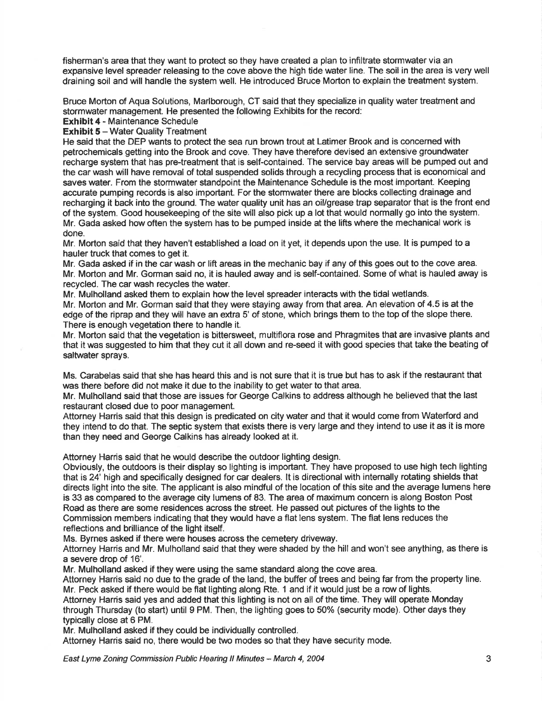fisherman's area that they want to protect so they have created a plan to infiltrate stormwater via an expansive level spreader releasing to the cove above the high tide water line. The soil in the area is very well draining soil and will handle the system well. He introduced Bruce Morton to explain the treatment system.

Bruce Morton of Aqua Solutions, Marlborough, CT said that they specialize in quality water treatment and stormwater management. He presented the following Exhibits for the record:

Exhibit 4 - Maintenance Schedule

**Exhibit 5 - Water Quality Treatment** 

He said that the DEP wants to protect the sea run brown trout at Latimer Brook and is concerned with petrochemicals getting into the Brook and cove. They have therefore devised an extensive groundwater recharge system that has pre-treatment that is self-contained. The service bay areas will be pumped out and the car wash will have removal of total suspended solids through a recycling process that is economical and saves water. From the stormwater standpoint the Maintenance Schedule is the most important. Keeping accurate pumping records is also important. For the stormwater there are blocks collecting drainage and recharging it back into the ground. The water quality unit has an oil/grease trap separator that is the front end of the system. Good housekeeping of the site will also pick up a lot that would normally go into the system. Mr. Gada asked how often the system has to be pumped inside at the lifts where the mechanical work is done.

Mr. Morton said that they haven't established a load on it yet, it depends upon the use. lt is pumped to a hauler truck that comes to get it.

Mr. Gada asked if in the car wash or lift areas in the mechanic bay if any of this goes out to the cove area. Mr. Morton and Mr. Gorman said no, it is hauled away and is self-contained. Some of what is hauled away is recycled. The car wash recycles the water.

Mr. Mulholland asked them to explain how the level spreader interacts with the tidal wetlands. Mr. Morton and Mr. Gorman said that they were staying away from that area. An elevation of 4.5 is at the edge of the riprap and they will have an extra 5' of stone, which brings them to the top of the slope there. There is enough vegetation there to handle it.

Mr. Morton said that the vegetation is bittersweet, multiflora rose and Phragmites that are invasive plants and that it was suggested to him that they cut it all down and re-seed it with good species that take the beating of saltwater sprays.

Ms. Carabelas said that she has heard this and is not sure that it is true but has to ask if the restaurant that was there before did not make it due to the inability to get water to that area.

Mr. Mulholland said that those are issues for George Calkins to address although he believed that the last restaurant closed due to poor management.

Attorney Harris said that this design is predicated on city water and that it would come from Waterford and they intend to do that. The septic system that exists there is very large and they intend to use it as it is more than they need and George Calkins has already looked at it.

Attorney Harris said that he would describe the outdoor lighting design.

Obviously, the outdoors is their display so lighting is important. They have proposed to use high tech lighting that is 24' high and specifically designed for car dealers. lt is directional with internally rotating shields that directs light into the site. The applicant is also mindful of the location of this site and the average lumens here is 33 as compared to the average city lumens of 83. The area of maximum concern is along Boston Post Road as there are some residences across the street. He passed out pictures of the lights to the Commission members indicating that they would have a flat lens system. The flat lens reduces the reflections and brilliance of the light itself.

Ms. Byrnes asked if there were houses across the cemetery driveway.

Attorney Harris and Mr. Mulholland said that they were shaded by the hilland won't see anything, as there is a severe drop of 16'.

Mr. Mulholland asked if they were using the same standard along the cove area.

Attorney Harris said no due to the grade of the land, the buffer of trees and being far from the property line. Mr. Peck asked if there would be flat lighting along Rte. 1 and if it would just be a row of lights.

Attorney Harris said yes and added that this lighting is not on all of the time. They will operate Monday through Thursday (to start) until 9 PM. Then, the lighting goes to 50% (security mode). Other days they typically close at 6 PM.

Mr. Mulholland asked if they could be individually controlled.

Attorney Harris said no, there would be two modes so that they have security mode.

East Lyme Zoning Commission Public Hearing ll Minutes - March 4, 2004 3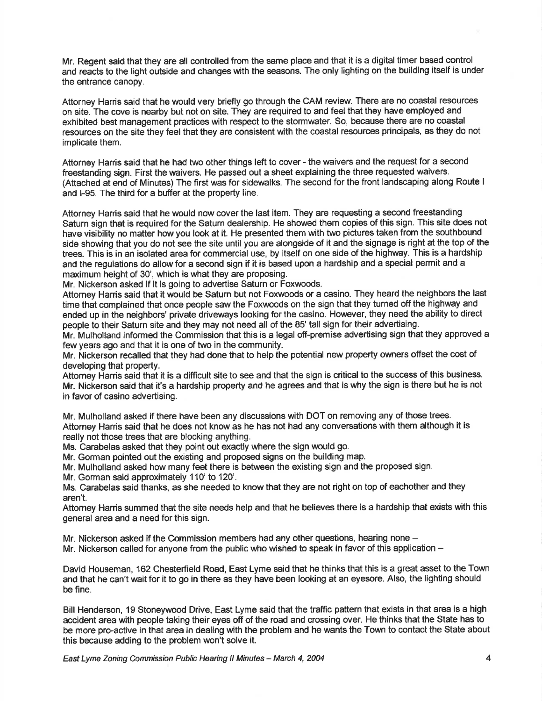Mr. Regent said that they are all controlled from the same place and that it is a digital timer based control and reacts to the light outside and changes with the seasons. The only lighting on the building itself is under the entrance canopy.

Attorney Harris said that he would very briefly go through the CAM review. There are no coastal resources on site. The cove is nearby but not on site. They are required to and feel that they have employed and exhibited best management practices with respect to the stormwater. So, because there are no coastal resources on the site they feel that they are consistent with the coastal resources principals, as they do not implicate them.

Attorney Harris said that he had two other things left to cover - the waivers and the request for a second freestanding sign. First thewaivers. He passed out a sheet explaining the three requested waivers. (Attached at end of Minutes) The first was for sidewalks. The second for the front landscaping along Route <sup>I</sup> and l-95. The third for a buffer at the property line.

Attorney Harris said that he would now cover the last item. They are requesting a second freestanding Saturn sign that is required for the Saturn dealership. He showed them copies of this sign. This site does not have visibility no matter how you look at it. He presented them with two pictures taken from the southbound side showing that you do not see the site until you are alongside of it and the signage is right at the top of the trees. This is in an isolated area for commercial use, by itself on one side of the highway. This is a hardship and the regulations do allow for a second sign if it is based upon a hardship and a special permit and a maximum height of 30', which is what they are proposing.

Mr. Nickerson asked if it is going to advertise Saturn or Foxwoods.

Attorney Harris said that it would be Saturn but not Foxwoods or a casino. They heard the neighbors the last time that complained that once people saw the Foxwoods on the sign that they turned off the highway and ended up in the neighbors' private driveways looking for the casino. However, they need the ability to direct people to their Saturn site and they may not need all of the 85' tall sign for their advertising.

Mr. Mulholland informed the Commission that this is a legal off-premise advertising sign that they approved a few years ago and that it is one of two in the community.

Mr. Nickerson recalled that they had done that to help the potential new property owners offset the cost of developing that property.

Attorney Harris said that it is a difficult site to see and that the sign is critical to the success of this business. Mr. Nickerson said that it's a hardship property and he agrees and that is why the sign is there but he is not in favor of casino advertising.

Mr. Mulholland asked if there have been any discussions with DOT on removing any of those trees. Attorney Harris said that he does not know as he has not had any conversations with them although it is really not those trees that are blocking anything.

Ms. Carabelas asked that they point out exactly where the sign would go.

Mr. Gorman pointed out the existing and proposed signs on the building map.

Mr. Mulholland asked how many feet there is between the existing sign and the proposed sign.

Mr. Gorman said approximately 110' to 120'.

Ms. Carabelas said thanks, as she needed to know that they are not right on top of eachother and they aren't.

Attorney Hanis summed that the site needs help and that he believes there is a hardship that exists with this general area and a need for this sign.

Mr. Nickerson asked if the Commission members had any other questions, hearing none -

Mr. Nickerson called for anyone from the public who wished to speak in favor of this application -

David Houseman, 162 Chesterfield Road, East Lyme said that he thinks that this is a great asset to the Town and that he can't wait for it to go in there as they have been looking at an eyesore. Also, the lighting should be fine.

Bill Henderson, 19 Stoneywood Drive, East Lyme said that the traffic pattern that exists in that area is a high accident area with people taking their eyes off of the road and crossing over. He thinks that the State has to be more pro-active in that area in dealing with the problem and he wants the Town to contact the State about this because adding to the problem won't solve it.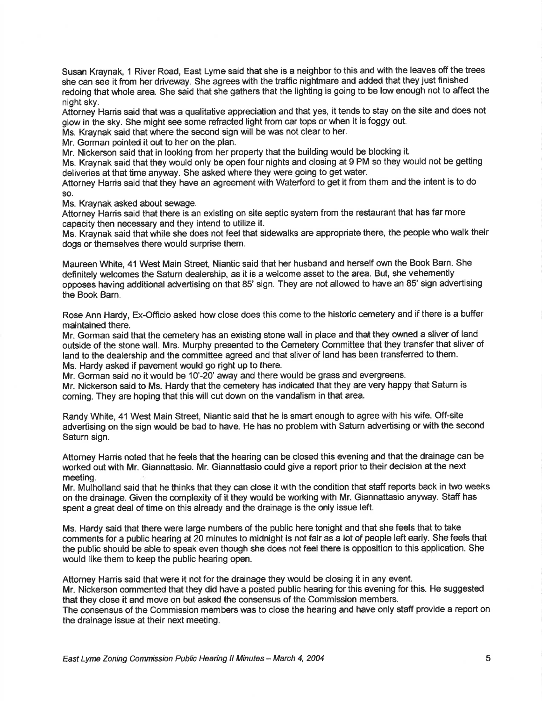Susan Kraynak, 1 River Road, East Lyme said that she is a neighbor to this and with the leaves off the trees she can see it from her driveway. She agrees with the traffic nightmare and added that they just finished redoing that whole area. She said that she gathers that the lighting is going to be low enough not to affect the night sky.

Aitorney Harris said that was a qualitative appreciation and that yes, it tends to stay on the site and does not glow in the sky. She might see some refracted light from car tops or when it is foggy out.

Ms. Kraynak said that where the second sign will be was not clear to her.

Mr. Gorman pointed it out to her on the plan.

Mr. Nickerson said that in looking from her property that the building would be blocking it.

Ms. Kraynak said that they would only be open four nights and closing at 9 PM so they would not be getting deliveries at that time anyway. She asked where they were going to get water.

Attorney Harris said that they have an agreement with Waterford to get it from them and the intent is to do so.

Ms. Kraynak asked about sewage.

Attorney Harris said that there is an existing on site septic system from the restaurant that has far more capacity then necessary and they intend to utilize it.

Ms. Kraynak said that while she does not feel that sidewalks are appropriate there, the people who walk their dogs or themselves there would surprise them.

Maureen White, 41 West Main Street, Niantic said that her husband and herself own the Book Barn. She definitely welcomes the Saturn dealership, as it is a welcome asset to the area. But, she vehemently opposes having additional advertising on that 85' sign. They are not allowed to have an 85' sign advertising the Book Barn.

Rose Ann Hardy, Ex-Officio asked how close does this come to the historic cemetery and if there is a buffer maintained there.

Mr. Gorman said that the cemetery has an existing stone wall in place and that they owned a sliver of land outside of the stone wall. Mrs. Murphy presented to the Cemetery Committee that they transfer that sliver of land to the dealership and the committee agreed and that sliver of land has been transferred to them. Ms. Hardy asked if pavement would go right up to there.

Mr. Gorman said no it would be 10'-20' away and there would be grass and evergreens.

Mr. Nickerson said to Ms. Hardy that the cemetery has indicated that they are very happy that Saturn is coming. They are hoping that this will cut down on the vandalism in that area.

Randy White, 41 West Main Street, Niantic said that he is smart enough to agree with his wife. Off-site advertising on the sign would be bad to have. He has no problem with Saturn advertising or with the second Saturn sign.

Attorney Harris noted that he feels that the hearing can be closed this evening and that the drainage can be worked out with Mr. Giannattasio. Mr. Giannattasio could give a report prior to their decision at the next meeting.

Mr. Mulholland said that he thinks that they can close it with the condition that staff reports back in two weeks on the drainage. Given the complexity of it they would be working with Mr. Giannattasio anyway. Staff has spent a great deal of time on this already and the drainage is the only issue left.

Ms. Hardy said that there were large numbers of the public here tonight and that she feels that to take comments for a public hearing at 20 minutes to midnight is not falr as a lot of people left early. She feels that the public should be able to speak even though she does not feel there is opposition to this application. She would like them to keep the public hearing open.

Attorney Harris said that were it not for the drainage they would be closing it in any event. Mr. Nickerson commented that they did have a posted public hearing for this evening for this. He suggested that they close it and move on but asked the consensus of the Commission members.

The consensus of the Commission members was to close the hearing and have only staff provide a report on the drainage issue at their next meeting.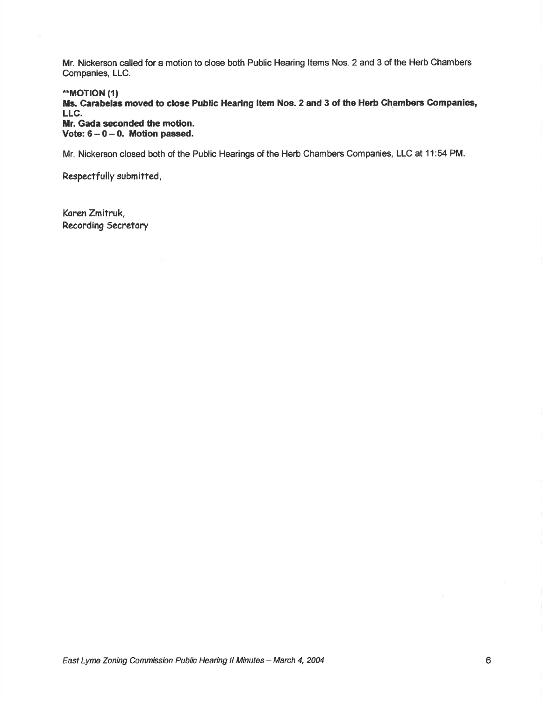Mr. Nickerson called for a motion to dose both Public Hearing ltems Nos. 2 and 3 of the Herb Chambers Companies, LLC.

.\*MOT!ON (1)

Ms. Carabelas moved to close Public Hearing Item Nos. 2 and 3 of the Herb Chambers Companies, LLC.

Mr. Gada seconded the motion. Vote:  $6 - 0 - 0$ . Motion passed.

Mr. Nickerson closed both of the Public Hearings of the Herb Chambers Companies, LLC at 11:54 PM.

Respectfully submitted,

Koren Zmitruk, Recording Secretory